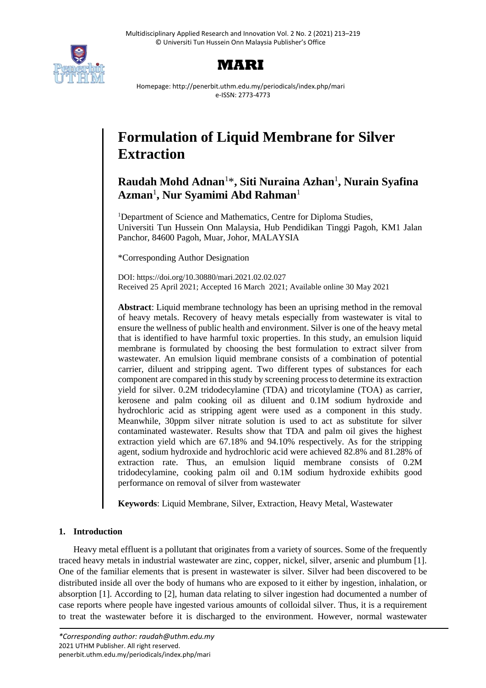



Homepage: http://penerbit.uthm.edu.my/periodicals/index.php/mari e-ISSN: 2773-4773

# **Formulation of Liquid Membrane for Silver Extraction**

# **Raudah Mohd Adnan**<sup>1</sup>\* **, Siti Nuraina Azhan**<sup>1</sup> **, Nurain Syafina Azman**<sup>1</sup> **, Nur Syamimi Abd Rahman**<sup>1</sup>

<sup>1</sup>Department of Science and Mathematics, Centre for Diploma Studies, Universiti Tun Hussein Onn Malaysia, Hub Pendidikan Tinggi Pagoh, KM1 Jalan Panchor, 84600 Pagoh, Muar, Johor, MALAYSIA

\*Corresponding Author Designation

DOI: https://doi.org/10.30880/mari.2021.02.02.027 Received 25 April 2021; Accepted 16 March 2021; Available online 30 May 2021

**Abstract**: Liquid membrane technology has been an uprising method in the removal of heavy metals. Recovery of heavy metals especially from wastewater is vital to ensure the wellness of public health and environment. Silver is one of the heavy metal that is identified to have harmful toxic properties. In this study, an emulsion liquid membrane is formulated by choosing the best formulation to extract silver from wastewater. An emulsion liquid membrane consists of a combination of potential carrier, diluent and stripping agent. Two different types of substances for each component are compared in this study by screening process to determine its extraction yield for silver. 0.2M tridodecylamine (TDA) and tricotylamine (TOA) as carrier, kerosene and palm cooking oil as diluent and 0.1M sodium hydroxide and hydrochloric acid as stripping agent were used as a component in this study. Meanwhile, 30ppm silver nitrate solution is used to act as substitute for silver contaminated wastewater. Results show that TDA and palm oil gives the highest extraction yield which are 67.18% and 94.10% respectively. As for the stripping agent, sodium hydroxide and hydrochloric acid were achieved 82.8% and 81.28% of extraction rate. Thus, an emulsion liquid membrane consists of 0.2M tridodecylamine, cooking palm oil and 0.1M sodium hydroxide exhibits good performance on removal of silver from wastewater

**Keywords**: Liquid Membrane, Silver, Extraction, Heavy Metal, Wastewater

# **1. Introduction**

Heavy metal effluent is a pollutant that originates from a variety of sources. Some of the frequently traced heavy metals in industrial wastewater are zinc, copper, nickel, silver, arsenic and plumbum [1]. One of the familiar elements that is present in wastewater is silver. Silver had been discovered to be distributed inside all over the body of humans who are exposed to it either by ingestion, inhalation, or absorption [1]. According to [2], human data relating to silver ingestion had documented a number of case reports where people have ingested various amounts of colloidal silver. Thus, it is a requirement to treat the wastewater before it is discharged to the environment. However, normal wastewater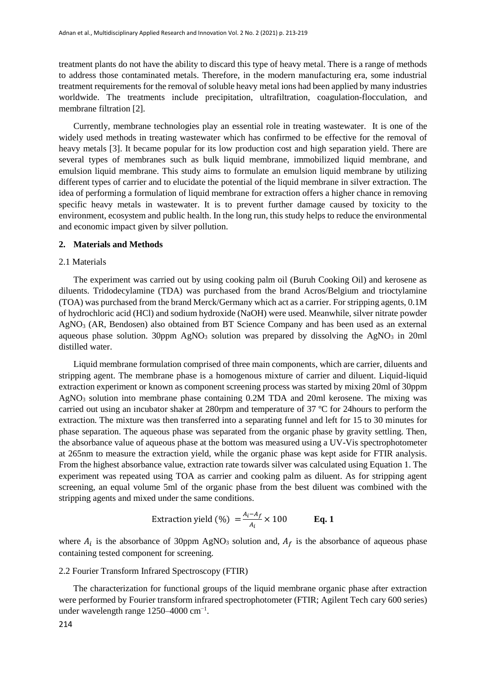treatment plants do not have the ability to discard this type of heavy metal. There is a range of methods to address those contaminated metals. Therefore, in the modern manufacturing era, some industrial treatment requirements for the removal of soluble heavy metal ions had been applied by many industries worldwide. The treatments include precipitation, ultrafiltration, coagulation-flocculation, and membrane filtration [2].

Currently, membrane technologies play an essential role in treating wastewater. It is one of the widely used methods in treating wastewater which has confirmed to be effective for the removal of heavy metals [3]. It became popular for its low production cost and high separation yield. There are several types of membranes such as bulk liquid membrane, immobilized liquid membrane, and emulsion liquid membrane. This study aims to formulate an emulsion liquid membrane by utilizing different types of carrier and to elucidate the potential of the liquid membrane in silver extraction. The idea of performing a formulation of liquid membrane for extraction offers a higher chance in removing specific heavy metals in wastewater. It is to prevent further damage caused by toxicity to the environment, ecosystem and public health. In the long run, this study helps to reduce the environmental and economic impact given by silver pollution.

#### **2. Materials and Methods**

#### 2.1 Materials

The experiment was carried out by using cooking palm oil (Buruh Cooking Oil) and kerosene as diluents. Tridodecylamine (TDA) was purchased from the brand Acros/Belgium and trioctylamine (TOA) was purchased from the brand Merck/Germany which act as a carrier. For stripping agents, 0.1M of hydrochloric acid (HCl) and sodium hydroxide (NaOH) were used. Meanwhile, silver nitrate powder AgNO<sup>3</sup> (AR, Bendosen) also obtained from BT Science Company and has been used as an external aqueous phase solution.  $30$ ppm AgNO<sub>3</sub> solution was prepared by dissolving the AgNO<sub>3</sub> in 20ml distilled water.

Liquid membrane formulation comprised of three main components, which are carrier, diluents and stripping agent. The membrane phase is a homogenous mixture of carrier and diluent. Liquid-liquid extraction experiment or known as component screening process was started by mixing 20ml of 30ppm AgNO<sup>3</sup> solution into membrane phase containing 0.2M TDA and 20ml kerosene. The mixing was carried out using an incubator shaker at 280rpm and temperature of 37 ºC for 24hours to perform the extraction. The mixture was then transferred into a separating funnel and left for 15 to 30 minutes for phase separation. The aqueous phase was separated from the organic phase by gravity settling. Then, the absorbance value of aqueous phase at the bottom was measured using a UV-Vis spectrophotometer at 265nm to measure the extraction yield, while the organic phase was kept aside for FTIR analysis. From the highest absorbance value, extraction rate towards silver was calculated using Equation 1. The experiment was repeated using TOA as carrier and cooking palm as diluent. As for stripping agent screening, an equal volume 5ml of the organic phase from the best diluent was combined with the stripping agents and mixed under the same conditions.

$$
Extraction yield (%) = \frac{A_i - A_f}{A_i} \times 100
$$
 Eq. 1

where  $A_i$  is the absorbance of 30ppm AgNO<sub>3</sub> solution and,  $A_f$  is the absorbance of aqueous phase containing tested component for screening.

#### 2.2 Fourier Transform Infrared Spectroscopy (FTIR)

The characterization for functional groups of the liquid membrane organic phase after extraction were performed by Fourier transform infrared spectrophotometer (FTIR; Agilent Tech cary 600 series) under wavelength range 1250–4000 cm<sup>-1</sup>.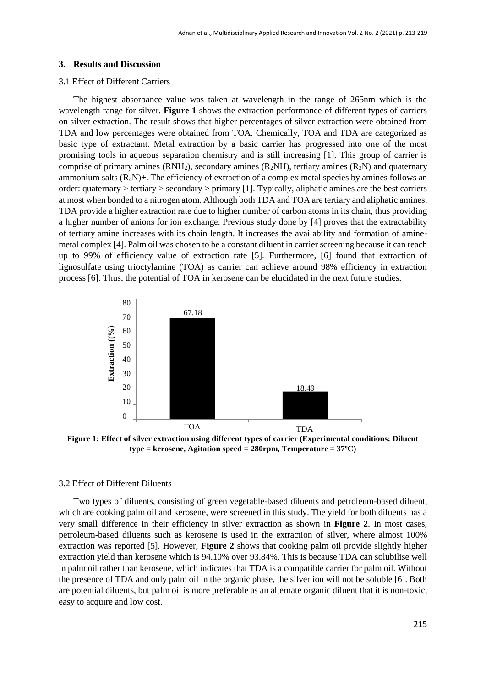#### **3. Results and Discussion**

#### 3.1 Effect of Different Carriers

The highest absorbance value was taken at wavelength in the range of 265nm which is the wavelength range for silver. **Figure 1** shows the extraction performance of different types of carriers on silver extraction. The result shows that higher percentages of silver extraction were obtained from TDA and low percentages were obtained from TOA. Chemically, TOA and TDA are categorized as basic type of extractant. Metal extraction by a basic carrier has progressed into one of the most promising tools in aqueous separation chemistry and is still increasing [1]. This group of carrier is comprise of primary amines  $(RNH<sub>2</sub>)$ , secondary amines  $(R<sub>2</sub>NH)$ , tertiary amines  $(R<sub>3</sub>N)$  and quaternary ammonium salts  $(R_4N)$ +. The efficiency of extraction of a complex metal species by amines follows an order: quaternary > tertiary > secondary > primary [1]. Typically, aliphatic amines are the best carriers at most when bonded to a nitrogen atom. Although both TDA and TOA are tertiary and aliphatic amines, TDA provide a higher extraction rate due to higher number of carbon atoms in its chain, thus providing a higher number of anions for ion exchange. Previous study done by [4] proves that the extractability of tertiary amine increases with its chain length. It increases the availability and formation of aminemetal complex [4]. Palm oil was chosen to be a constant diluent in carrier screening because it can reach up to 99% of efficiency value of extraction rate [5]. Furthermore, [6] found that extraction of lignosulfate using trioctylamine (TOA) as carrier can achieve around 98% efficiency in extraction process [6]. Thus, the potential of TOA in kerosene can be elucidated in the next future studies.



**Figure 1: Effect of silver extraction using different types of carrier (Experimental conditions: Diluent type = kerosene, Agitation speed = 280rpm, Temperature = 37ºC)**

#### 3.2 Effect of Different Diluents

Two types of diluents, consisting of green vegetable-based diluents and petroleum-based diluent, which are cooking palm oil and kerosene, were screened in this study. The yield for both diluents has a very small difference in their efficiency in silver extraction as shown in **Figure 2**. In most cases, petroleum-based diluents such as kerosene is used in the extraction of silver, where almost 100% extraction was reported [5]. However, **Figure 2** shows that cooking palm oil provide slightly higher extraction yield than kerosene which is 94.10% over 93.84%. This is because TDA can solubilise well in palm oil rather than kerosene, which indicates that TDA is a compatible carrier for palm oil. Without the presence of TDA and only palm oil in the organic phase, the silver ion will not be soluble [6]. Both are potential diluents, but palm oil is more preferable as an alternate organic diluent that it is non-toxic, East of all the set of silver exists of the presence of TDA and only all the presence of TDA and only all easy to acquire and low cost. The and set of the presence of TDA and only all easy to acquire and low cost.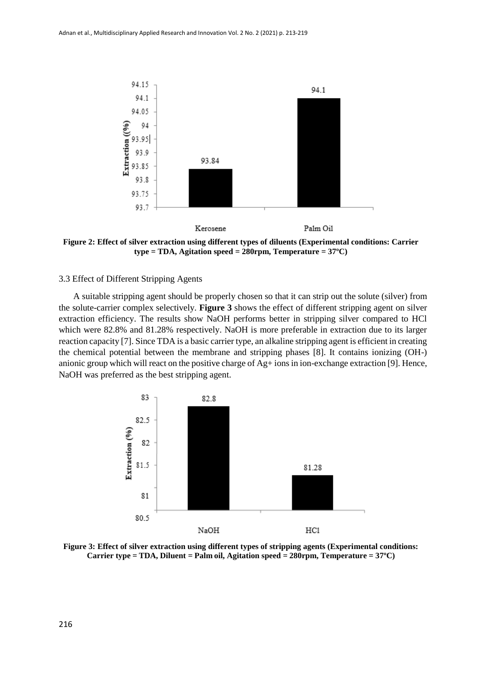

**Figure 2: Effect of silver extraction using different types of diluents (Experimental conditions: Carrier type = TDA, Agitation speed = 280rpm, Temperature = 37ºC)**

#### 3.3 Effect of Different Stripping Agents

A suitable stripping agent should be properly chosen so that it can strip out the solute (silver) from the solute-carrier complex selectively. **Figure 3** shows the effect of different stripping agent on silver extraction efficiency. The results show NaOH performs better in stripping silver compared to HCl which were 82.8% and 81.28% respectively. NaOH is more preferable in extraction due to its larger reaction capacity [7]. Since TDA is a basic carrier type, an alkaline stripping agent is efficient in creating the chemical potential between the membrane and stripping phases [8]. It contains ionizing (OH-) anionic group which will react on the positive charge of Ag+ ions in ion-exchange extraction [9]. Hence, NaOH was preferred as the best stripping agent.



**Figure 3: Effect of silver extraction using different types of stripping agents (Experimental conditions: Carrier type = TDA, Diluent = Palm oil, Agitation speed = 280rpm, Temperature = 37ºC)**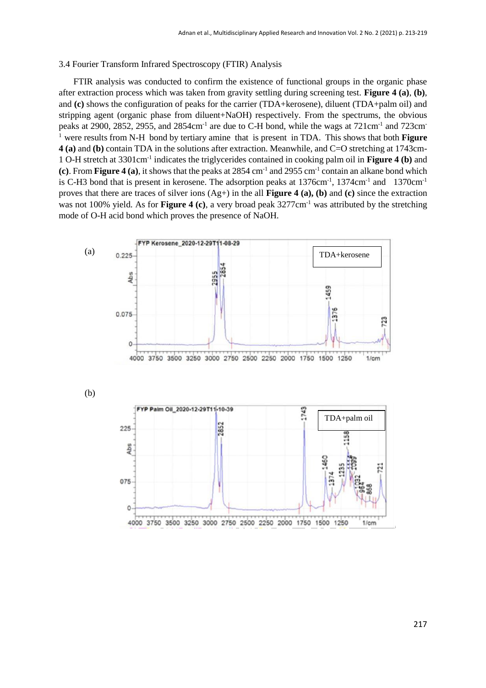#### 3.4 Fourier Transform Infrared Spectroscopy (FTIR) Analysis

FTIR analysis was conducted to confirm the existence of functional groups in the organic phase after extraction process which was taken from gravity settling during screening test. **Figure 4 (a)**, **(b)**, and **(c)** shows the configuration of peaks for the carrier (TDA+kerosene), diluent (TDA+palm oil) and stripping agent (organic phase from diluent+NaOH) respectively. From the spectrums, the obvious peaks at 2900, 2852, 2955, and 2854cm<sup>-1</sup> are due to C-H bond, while the wags at 721cm<sup>-1</sup> and 723cm<sup>-</sup> <sup>1</sup>were results from N-H bond by tertiary amine that is present in TDA. This shows that both **Figure 4 (a)** and **(b)** contain TDA in the solutions after extraction. Meanwhile, and C=O stretching at 1743cm-1 O-H stretch at 3301cm-1 indicates the triglycerides contained in cooking palm oil in **Figure 4 (b)** and  $(c)$ . From **Figure 4** (a), it shows that the peaks at 2854 cm<sup>-1</sup> and 2955 cm<sup>-1</sup> contain an alkane bond which is C-H3 bond that is present in kerosene. The adsorption peaks at 1376cm<sup>-1</sup>, 1374cm<sup>-1</sup> and 1370cm<sup>-1</sup> proves that there are traces of silver ions (Ag+) in the all **Figure 4 (a), (b)** and **(c)** since the extraction was not 100% yield. As for **Figure 4 (c)**, a very broad peak 3277cm<sup>-1</sup> was attributed by the stretching mode of O-H acid bond which proves the presence of NaOH.

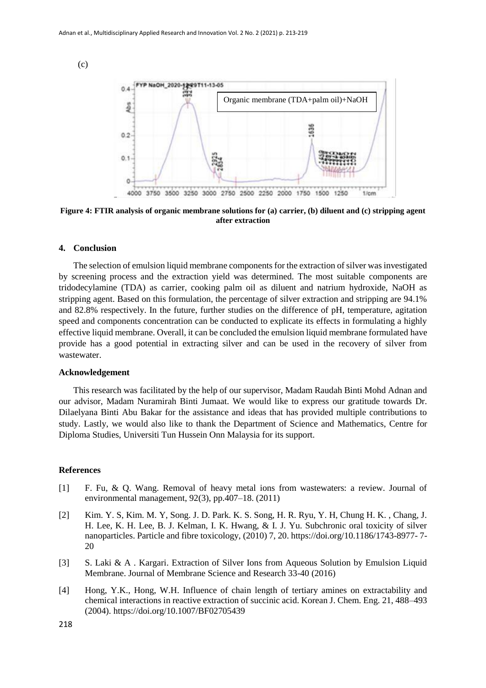(c)



**Figure 4: FTIR analysis of organic membrane solutions for (a) carrier, (b) diluent and (c) stripping agent after extraction**

### **4. Conclusion**

The selection of emulsion liquid membrane components for the extraction of silver was investigated by screening process and the extraction yield was determined. The most suitable components are tridodecylamine (TDA) as carrier, cooking palm oil as diluent and natrium hydroxide, NaOH as stripping agent. Based on this formulation, the percentage of silver extraction and stripping are 94.1% and 82.8% respectively. In the future, further studies on the difference of pH, temperature, agitation speed and components concentration can be conducted to explicate its effects in formulating a highly effective liquid membrane. Overall, it can be concluded the emulsion liquid membrane formulated have provide has a good potential in extracting silver and can be used in the recovery of silver from wastewater.

#### **Acknowledgement**

This research was facilitated by the help of our supervisor, Madam Raudah Binti Mohd Adnan and our advisor, Madam Nuramirah Binti Jumaat. We would like to express our gratitude towards Dr. Dilaelyana Binti Abu Bakar for the assistance and ideas that has provided multiple contributions to study. Lastly, we would also like to thank the Department of Science and Mathematics, Centre for Diploma Studies, Universiti Tun Hussein Onn Malaysia for its support.

## **References**

- [1] F. Fu, & Q. Wang. Removal of heavy metal ions from wastewaters: a review. Journal of environmental management, 92(3), pp.407–18. (2011)
- [2] Kim. Y. S, Kim. M. Y, Song. J. D. Park. K. S. Song, H. R. Ryu, Y. H, Chung H. K. , Chang, J. H. Lee, K. H. Lee, B. J. Kelman, I. K. Hwang, & I. J. Yu. Subchronic oral toxicity of silver nanoparticles. Particle and fibre toxicology, (2010) 7, 20. https://doi.org/10.1186/1743-8977- 7- 20
- [3] S. Laki & A . Kargari. Extraction of Silver Ions from Aqueous Solution by Emulsion Liquid Membrane. Journal of Membrane Science and Research 33-40 (2016)
- [4] Hong, Y.K., Hong, W.H. Influence of chain length of tertiary amines on extractability and chemical interactions in reactive extraction of succinic acid. Korean J. Chem. Eng. 21, 488–493 (2004). https://doi.org/10.1007/BF02705439